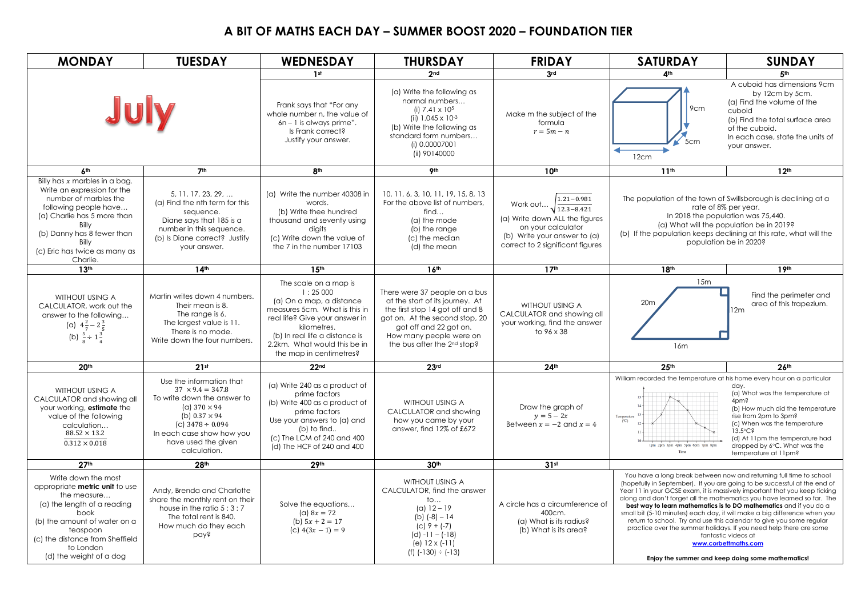## **A BIT OF MATHS EACH DAY – SUMMER BOOST 2020 – FOUNDATION TIER**

| <b>MONDAY</b>                                                                                                                                                                                                                                | <b>TUESDAY</b>                                                                                                                                                                                                                 | <b>WEDNESDAY</b>                                                                                                                                                                                                                            | <b>THURSDAY</b>                                                                                                                                                                                                                       | <b>FRIDAY</b>                                                                                                                                                                   | <b>SATURDAY</b>                                                                                                                                                                                                                                                                                                                                                                                                                                                                                                                                                                                                                                                                                                | <b>SUNDAY</b>                                                                                                                                                                                                                                                            |  |
|----------------------------------------------------------------------------------------------------------------------------------------------------------------------------------------------------------------------------------------------|--------------------------------------------------------------------------------------------------------------------------------------------------------------------------------------------------------------------------------|---------------------------------------------------------------------------------------------------------------------------------------------------------------------------------------------------------------------------------------------|---------------------------------------------------------------------------------------------------------------------------------------------------------------------------------------------------------------------------------------|---------------------------------------------------------------------------------------------------------------------------------------------------------------------------------|----------------------------------------------------------------------------------------------------------------------------------------------------------------------------------------------------------------------------------------------------------------------------------------------------------------------------------------------------------------------------------------------------------------------------------------------------------------------------------------------------------------------------------------------------------------------------------------------------------------------------------------------------------------------------------------------------------------|--------------------------------------------------------------------------------------------------------------------------------------------------------------------------------------------------------------------------------------------------------------------------|--|
|                                                                                                                                                                                                                                              |                                                                                                                                                                                                                                | 1 <sub>st</sub>                                                                                                                                                                                                                             | 2nd                                                                                                                                                                                                                                   | 3rd                                                                                                                                                                             | 4 <sup>th</sup>                                                                                                                                                                                                                                                                                                                                                                                                                                                                                                                                                                                                                                                                                                | 5 <sub>th</sub>                                                                                                                                                                                                                                                          |  |
| July                                                                                                                                                                                                                                         |                                                                                                                                                                                                                                | Frank says that "For any<br>whole number n, the value of<br>$6n - 1$ is always prime".<br>Is Frank correct?<br>Justify your answer.                                                                                                         | (a) Write the following as<br>normal numbers<br>(i) $7.41 \times 10^5$<br>(ii) $1.045 \times 10^{-3}$<br>(b) Write the following as<br>standard form numbers<br>(i) 0.00007001<br>(ii) 90140000                                       | Make m the subject of the<br>formula<br>$r=5m-n$                                                                                                                                | 9cm<br>5cm<br>12cm                                                                                                                                                                                                                                                                                                                                                                                                                                                                                                                                                                                                                                                                                             | A cuboid has dimensions 9cm<br>by 12cm by 5cm.<br>(a) Find the volume of the<br>cuboid<br>(b) Find the total surface area<br>of the cuboid.<br>In each case, state the units of<br>your answer.                                                                          |  |
| 6 <sup>th</sup>                                                                                                                                                                                                                              | 7 <sup>th</sup>                                                                                                                                                                                                                | 8 <sup>th</sup>                                                                                                                                                                                                                             | <b>9th</b>                                                                                                                                                                                                                            | 10 <sup>th</sup>                                                                                                                                                                | 11 <sup>th</sup>                                                                                                                                                                                                                                                                                                                                                                                                                                                                                                                                                                                                                                                                                               | 12 <sup>th</sup>                                                                                                                                                                                                                                                         |  |
| Billy has $x$ marbles in a bag.<br>Write an expression for the<br>number of marbles the<br>following people have<br>(a) Charlie has 5 more than<br>Billy<br>(b) Danny has 8 fewer than<br>Billy<br>(c) Eric has twice as many as<br>Charlie. | $5, 11, 17, 23, 29, \ldots$<br>(a) Find the nth term for this<br>sequence.<br>Diane says that 185 is a<br>number in this sequence.<br>(b) Is Diane correct? Justify<br>your answer.                                            | (a) Write the number 40308 in<br>words.<br>(b) Write thee hundred<br>thousand and seventy using<br>digits<br>(c) Write down the value of<br>the 7 in the number 17103                                                                       | 10, 11, 6, 3, 10, 11, 19, 15, 8, 13<br>For the above list of numbers.<br>find<br>(a) the mode<br>(b) the range<br>(c) the median<br>(d) the mean                                                                                      | $1.21 - 0.981$<br>Work out<br>$\sqrt{12.3 - 8.421}$<br>(a) Write down ALL the figures<br>on your calculator<br>(b) Write your answer to (a)<br>correct to 2 significant figures | The population of the town of Swillsborough is declining at a<br>rate of 8% per year.<br>In 2018 the population was 75,440.<br>(a) What will the population be in 2019?<br>(b) If the population keeps declining at this rate, what will the<br>population be in 2020?                                                                                                                                                                                                                                                                                                                                                                                                                                         |                                                                                                                                                                                                                                                                          |  |
| 13 <sup>th</sup>                                                                                                                                                                                                                             | 14 <sup>th</sup>                                                                                                                                                                                                               | 15 <sup>th</sup>                                                                                                                                                                                                                            | 16 <sup>th</sup>                                                                                                                                                                                                                      | 17 <sup>th</sup>                                                                                                                                                                | 18 <sup>th</sup>                                                                                                                                                                                                                                                                                                                                                                                                                                                                                                                                                                                                                                                                                               | 19th                                                                                                                                                                                                                                                                     |  |
| <b>WITHOUT USING A</b><br>CALCULATOR, work out the<br>answer to the following<br>(a) $4\frac{2}{7}-2\frac{3}{5}$<br>(b) $\frac{5}{8} \div 1\frac{3}{4}$                                                                                      | Martin writes down 4 numbers.<br>Their mean is 8.<br>The range is 6.<br>The largest value is 11.<br>There is no mode.<br>Write down the four numbers.                                                                          | The scale on a map is<br>1:25000<br>(a) On a map, a distance<br>measures 5cm. What is this in<br>real life? Give your answer in<br>kilometres.<br>(b) In real life a distance is<br>2.2km. What would this be in<br>the map in centimetres? | There were 37 people on a bus<br>at the start of its journey. At<br>the first stop 14 got off and 8<br>got on. At the second stop, 20<br>got off and 22 got on.<br>How many people were on<br>the bus after the 2 <sup>nd</sup> stop? | WITHOUT USING A<br>CALCULATOR and showing all<br>your working, find the answer<br>to 96 x 38                                                                                    | 15m<br>20 <sub>m</sub><br>16m                                                                                                                                                                                                                                                                                                                                                                                                                                                                                                                                                                                                                                                                                  | Find the perimeter and<br>area of this trapezium.<br>12m                                                                                                                                                                                                                 |  |
| 20 <sup>th</sup>                                                                                                                                                                                                                             | 21st                                                                                                                                                                                                                           | 22 <sub>nd</sub>                                                                                                                                                                                                                            | 23rd                                                                                                                                                                                                                                  | 24 <sup>th</sup>                                                                                                                                                                | 25 <sup>th</sup>                                                                                                                                                                                                                                                                                                                                                                                                                                                                                                                                                                                                                                                                                               | 26 <sup>th</sup>                                                                                                                                                                                                                                                         |  |
| <b>WITHOUT USING A</b><br>CALCULATOR and showing all<br>your working, estimate the<br>value of the following<br>calculation<br>$88.52 \times 13.2$<br>$0.312 \times 0.018$                                                                   | Use the information that<br>$37 \times 9.4 = 347.8$<br>To write down the answer to<br>(a) $370 \times 94$<br>(b) $0.37 \times 94$<br>(c) $3478 \div 0.094$<br>In each case show how you<br>have used the given<br>calculation. | (a) Write 240 as a product of<br>prime factors<br>(b) Write 400 as a product of<br>prime factors<br>Use your answers to (a) and<br>(b) to find<br>(c) The LCM of 240 and 400<br>(d) The HCF of 240 and 400                                  | <b>WITHOUT USING A</b><br>CALCULATOR and showing<br>how you came by your<br>answer, find 12% of £672                                                                                                                                  | Draw the graph of<br>$y = 5 - 2x$<br>Between $x = -2$ and $x = 4$                                                                                                               | William recorded the temperature at his home every hour on a particular                                                                                                                                                                                                                                                                                                                                                                                                                                                                                                                                                                                                                                        | day.<br>(a) What was the temperature at<br>40 <sub>mg</sub><br>(b) How much did the temperature<br>rise from 2pm to 3pm?<br>(c) When was the temperature<br>$13.5^{\circ}$ C?<br>(d) At 11pm the temperature had<br>dropped by 6°C. What was the<br>temperature at 11pm? |  |
| 27 <sup>th</sup>                                                                                                                                                                                                                             | 28 <sup>th</sup>                                                                                                                                                                                                               | 29 <sup>th</sup>                                                                                                                                                                                                                            | 30 <sup>th</sup>                                                                                                                                                                                                                      | 31st                                                                                                                                                                            |                                                                                                                                                                                                                                                                                                                                                                                                                                                                                                                                                                                                                                                                                                                |                                                                                                                                                                                                                                                                          |  |
| Write down the most<br>appropriate metric unit to use<br>the measure<br>(a) the length of a reading<br>book<br>(b) the amount of water on a<br>teaspoon<br>(c) the distance from Sheffield<br>to London<br>(d) the weight of a dog           | Andy, Brenda and Charlotte<br>share the monthly rent on their<br>house in the ratio $5:3:7$<br>The total rent is 840.<br>How much do they each<br>pay?                                                                         | Solve the equations<br>(a) $8x = 72$<br>(b) $5x + 2 = 17$<br>(c) $4(3x-1) = 9$                                                                                                                                                              | WITHOUT USING A<br>CALCULATOR, find the answer<br>$\mathsf{to}$<br>(a) $12 - 19$<br>(b) $(-8) - 14$<br>$(C)$ 9 + $(-7)$<br>$(d) -11 - (-18)$<br>(e) $12 \times (-11)$<br>(f) $(-130) \div (-13)$                                      | A circle has a circumference of<br>400cm.<br>(a) What is its radius?<br>(b) What is its area?                                                                                   | You have a long break between now and returning full time to school<br>(hopefully in September). If you are going to be successful at the end of<br>Year 11 in your GCSE exam, it is massively important that you keep ticking<br>along and don't forget all the mathematics you have learned so far. The<br>best way to learn mathematics is to DO mathematics and if you do a<br>small bit (5-10 minutes) each day, it will make a big difference when you<br>return to school. Try and use this calendar to give you some regular<br>practice over the summer holidays. If you need help there are some<br>fantastic videos at<br>www.corbettmaths.com<br>Enjoy the summer and keep doing some mathematics! |                                                                                                                                                                                                                                                                          |  |